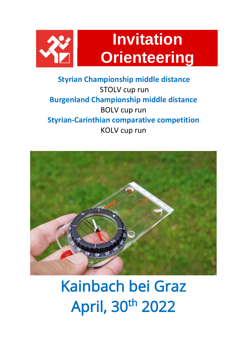

## **Styrian Championship middle distance** STOLV cup run **Burgenland Championship middle distance** BOLV cup run **Styrian-Carinthian comparative competition**  KOLV cup run



## Kainbach bei Graz April, 30th 2022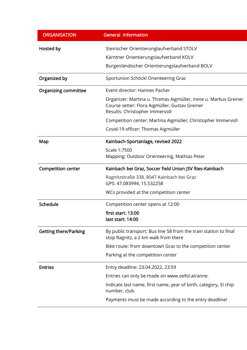| <b>ORGANISATION</b>          | <b>General Information</b>                                                                                                                          |
|------------------------------|-----------------------------------------------------------------------------------------------------------------------------------------------------|
| Hosted by                    | Steirischer Orientierunglaufverband STOLV                                                                                                           |
|                              | Kärntner Orientierungslaufverband KOLV                                                                                                              |
|                              | Burgenländischer Orientierungslaufverband BOLV                                                                                                      |
| Organized by                 | Sportunion Schöckl Orienteering Graz                                                                                                                |
| <b>Organizing committee</b>  | Event director: Hannes Pacher                                                                                                                       |
|                              | Organizer: Martina u. Thomas Aigmüller, Irene u. Markus Greiner<br>Course setter: Flora Aigmüller, Gustav Greiner<br>Results: Christopher Immervoll |
|                              | Competition center: Martina Aigmüller, Christopher Immervoll                                                                                        |
|                              | Covid-19 officer: Thomas Aigmüller                                                                                                                  |
| Map                          | Kainbach-Sportanlage, revised 2022                                                                                                                  |
|                              | Scale 1:7500<br>Mapping: Outdoor Orienteering, Mathias Peter                                                                                        |
| <b>Competition center</b>    | Kainbach bei Graz, Soccer field Union JSV Ries-Kainbach                                                                                             |
|                              | Ragnitzstraße 338, 8047 Kainbach bei Graz<br>GPS: 47.083994, 15.532258                                                                              |
|                              | WCs provided at the competition center                                                                                                              |
| Schedule                     | Competition center opens at 12:00                                                                                                                   |
|                              | first start: 13:00<br>last start: 14:00                                                                                                             |
| <b>Getting there/Parking</b> | By public transport: Bus line 58 from the train station to final<br>stop Ragnitz, a 2 km walk from there                                            |
|                              | Bike route: from downtown Graz to the competition center                                                                                            |
|                              | Parking at the competition center                                                                                                                   |
| <b>Entries</b>               | Entry deadline: 23.04.2022, 23:59                                                                                                                   |
|                              | Entries can only be made on www.oefol.at/anne.                                                                                                      |
|                              | Indicate last name, first name, year of birth, category, SI chip<br>number, club.                                                                   |
|                              | Payments must be made according to the entry deadline!                                                                                              |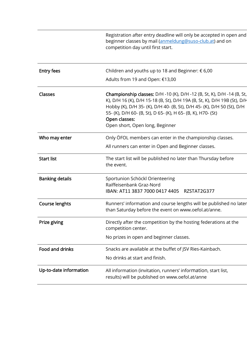|                        | Registration after entry deadline will only be accepted in open and<br>beginner classes by mail (anmeldung@suso-club.at) and on<br>competition day until first start.                                                                                                                                                                                   |
|------------------------|---------------------------------------------------------------------------------------------------------------------------------------------------------------------------------------------------------------------------------------------------------------------------------------------------------------------------------------------------------|
| <b>Entry fees</b>      | Children and youths up to 18 and Beginner: $\epsilon$ 6,00                                                                                                                                                                                                                                                                                              |
|                        | Adults from 19 and Open: €13,00                                                                                                                                                                                                                                                                                                                         |
| <b>Classes</b>         | <b>Championship classes:</b> D/H -10 (K), D/H -12 (B, St, K), D/H -14 (B, St,<br>K), D/H 16 (K), D/H 15-18 (B, St), D/H 19A (B, St, K), D/H 19B (St), D/H<br>Hobby (K), D/H 35- (K), D/H 40- (B, St), D/H 45- (K), D/H 50 (St), D/H<br>55- (K), D/H 60- (B, St), D 65- (K), H 65- (B, K), H70- (St)<br>Open classes:<br>Open short, Open long, Beginner |
| Who may enter          | Only ÖFOL members can enter in the championship classes.                                                                                                                                                                                                                                                                                                |
|                        | All runners can enter in Open and Beginner classes.                                                                                                                                                                                                                                                                                                     |
| <b>Start list</b>      | The start list will be published no later than Thursday before<br>the event.                                                                                                                                                                                                                                                                            |
| <b>Banking details</b> | Sportunion Schöckl Orienteering<br>Raiffeisenbank Graz-Nord<br>IBAN: AT11 3837 7000 0417 4405<br>RZSTAT2G377                                                                                                                                                                                                                                            |
| <b>Course lenghts</b>  | Runners' information and course lengths will be published no later<br>than Saturday before the event on www.oefol.at/anne.                                                                                                                                                                                                                              |
| Prize giving           | Directly after the competition by the hosting federations at the<br>competition center.                                                                                                                                                                                                                                                                 |
|                        | No prizes in open and beginner classes.                                                                                                                                                                                                                                                                                                                 |
| Food and drinks        | Snacks are available at the buffet of JSV Ries-Kainbach.                                                                                                                                                                                                                                                                                                |
|                        | No drinks at start and finish.                                                                                                                                                                                                                                                                                                                          |
| Up-to-date information | All information (invitation, runners' information, start list,<br>results) will be published on www.oefol.at/anne                                                                                                                                                                                                                                       |